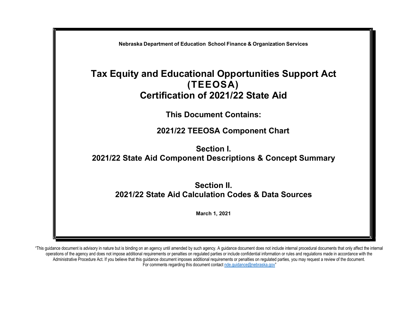

"This guidance document is advisory in nature but is binding on an agency until amended by such agency. A guidance document does not include internal procedural documents that only affect the internal operations of the agency and does not impose additional requirements or penalties on regulated parties or include confidential information or rules and regulations made in accordance with the Administrative Procedure Act. If you believe that this guidance document imposes additional requirements or penalties on regulated parties, you may request a review of the document. For comments regarding this document contact nde.guidance@nebraska.gov"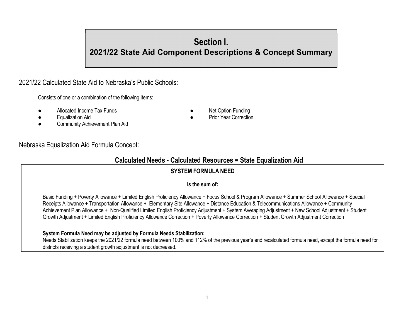# Section I.

# 2021/22 State Aid Component Descriptions & Concept Summary

# 2021/22 Calculated State Aid to Nebraska's Public Schools:

Consists of one or a combination of the following items:

- Allocated Income Tax Funds **Allocated Income Tax Funding Allocated Income Tax** Funding
	-
- **Equalization Aid a Prior Year Correction ●** Prior Year Correction
- Community Achievement Plan Aid

# Nebraska Equalization Aid Formula Concept:

# Calculated Needs - Calculated Resources = State Equalization Aid

# SYSTEM FORMULA NEED

#### Is the sum of:

Basic Funding + Poverty Allowance + Limited English Proficiency Allowance + Focus School & Program Allowance + Summer School Allowance + Special Receipts Allowance + Transportation Allowance + Elementary Site Allowance + Distance Education & Telecommunications Allowance + Community Achievement Plan Allowance + Non-Qualified Limited English Proficiency Adjustment + System Averaging Adjustment + New School Adjustment + Student Growth Adjustment + Limited English Proficiency Allowance Correction + Poverty Allowance Correction + Student Growth Adjustment Correction

# System Formula Need may be adjusted by Formula Needs Stabilization:

Needs Stabilization keeps the 2021/22 formula need between 100% and 112% of the previous year's end recalculated formula need, except the formula need for districts receiving a student growth adjustment is not decreased.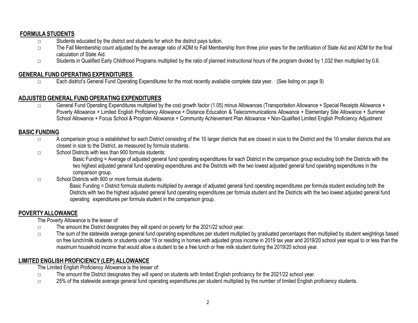# FORMULA STUDENTS

- □ Students educated by the district and students for which the district pays tuition.
- □ The Fall Membership count adjusted by the average ratio of ADM to Fall Membership from three prior years for the certification of State Aid and ADM for the final calculation of State Aid.
- □ Students in Qualified Early Childhood Programs multiplied by the ratio of planned instructional hours of the program divided by 1,032 then multiplied by 0.6.

# GENERAL FUND OPERATING EXPENDITURES

□ Each district's General Fund Operating Expenditures for the most recently available complete data year. (See listing on page 9)

# ADJUSTED GENERAL FUND OPERATING EXPENDITURES

□ General Fund Operating Expenditures multiplied by the cost growth factor (1.05) minus Allowances (Transportation Allowance + Special Receipts Allowance + Poverty Allowance + Limited English Proficiency Allowance + Distance Education & Telecommunications Allowance + Elementary Site Allowance + Summer School Allowance + Focus School & Program Allowance + Community Achievement Plan Allowance + Non-Qualified Limited English Proficiency Adjustment

# BASIC FUNDING

- □ A comparison group is established for each District consisting of the 10 larger districts that are closest in size to the District and the 10 smaller districts that are closest in size to the District, as measured by formula students.
- □ School Districts with less than 900 formula students:

Basic Funding = Average of adjusted general fund operating expenditures for each District in the comparison group excluding both the Districts with the two highest adjusted general fund operating expenditures and the Districts with the two lowest adjusted general fund operating expenditures in the comparison group.

□ School Districts with 900 or more formula students:

Basic Funding = District formula students multiplied by average of adjusted general fund operating expenditures per formula student excluding both the Districts with two the highest adjusted general fund operating expenditures per formula student and the Districts with the two lowest adjusted general fund operating expenditures per formula student in the comparison group.

#### POVERTY ALLOWANCE

The Poverty Allowance is the lesser of:

- □ The amount the District designates they will spend on poverty for the 2021/22 school year.
- □ The sum of the statewide average general fund operating expenditures per student multiplied by graduated percentages then multiplied by student weightings based on free lunch/milk students or students under 19 or residing in homes with adjusted gross income in 2019 tax year and 2019/20 school year equal to or less than the maximum household income that would allow a student to be a free lunch or free milk student during the 2019/20 school year.

# LIMITED ENGLISH PROFICIENCY (LEP) ALLOWANCE

The Limited English Proficiency Allowance is the lesser of:

- □ The amount the District designates they will spend on students with limited English proficiency for the 2021/22 school year.
- □ 25% of the statewide average general fund operating expenditures per student multiplied by the number of limited English proficiency students.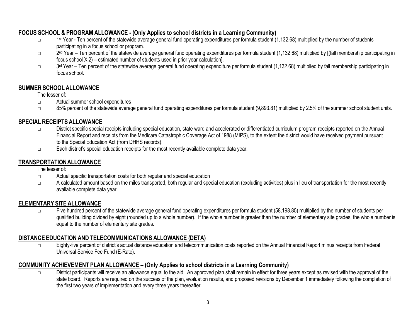# FOCUS SCHOOL & PROGRAM ALLOWANCE - (Only Applies to school districts in a Learning Community)

- □ 1<sup>st</sup> Year Ten percent of the statewide average general fund operating expenditures per formula student (1,132.68) multiplied by the number of students participating in a focus school or program.
- □ 2<sup>nd</sup> Year Ten percent of the statewide average general fund operating expenditures per formula student (1,132.68) multiplied by [(fall membership participating in focus school X 2) – estimated number of students used in prior year calculation].
- □ 3<sup>rd</sup> Year Ten percent of the statewide average general fund operating expenditure per formula student (1,132.68) multiplied by fall membership participating in focus school.

# SUMMER SCHOOL ALLOWANCE

# The lesser of:

- □ Actual summer school expenditures
- □ 85% percent of the statewide average general fund operating expenditures per formula student (9,893.81) multiplied by 2.5% of the summer school student units.

# SPECIAL RECEIPTS ALLOWANCE

- □ District specific special receipts including special education, state ward and accelerated or differentiated curriculum program receipts reported on the Annual Financial Report and receipts from the Medicare Catastrophic Coverage Act of 1988 (MIPS), to the extent the district would have received payment pursuant to the Special Education Act (from DHHS records).
- □ Each district's special education receipts for the most recently available complete data year.

# TRANSPORTATION ALLOWANCE

The lesser of:

- □ Actual specific transportation costs for both regular and special education
- □ A calculated amount based on the miles transported, both regular and special education (excluding activities) plus in lieu of transportation for the most recently available complete data year.

# ELEMENTARY SITE ALLOWANCE

□ Five hundred percent of the statewide average general fund operating expenditures per formula student (58,198.85) multiplied by the number of students per qualified building divided by eight (rounded up to a whole number). If the whole number is greater than the number of elementary site grades, the whole number is equal to the number of elementary site grades.

# DISTANCE EDUCATION AND TELECOMMUNICATIONS ALLOWANCE (DETA)

□ Eighty-five percent of district's actual distance education and telecommunication costs reported on the Annual Financial Report minus receipts from Federal Universal Service Fee Fund (E-Rate).

# COMMUNITY ACHIEVEMENT PLAN ALLOWANCE – (Only Applies to school districts in a Learning Community)

□ District participants will receive an allowance equal to the aid. An approved plan shall remain in effect for three years except as revised with the approval of the state board. Reports are required on the success of the plan, evaluation results, and proposed revisions by December 1 immediately following the completion of the first two years of implementation and every three years thereafter.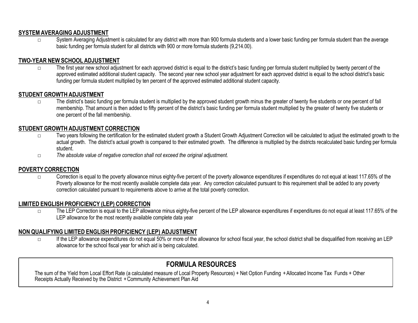#### SYSTEM AVERAGING ADJUSTMENT

□ System Averaging Adjustment is calculated for any district with more than 900 formula students and a lower basic funding per formula student than the average basic funding per formula student for all districts with 900 or more formula students (9,214.00).

#### TWO-YEAR NEW SCHOOL ADJUSTMENT

□ The first year new school adjustment for each approved district is equal to the district's basic funding per formula student multiplied by twenty percent of the approved estimated additional student capacity. The second year new school year adjustment for each approved district is equal to the school district's basic funding per formula student multiplied by ten percent of the approved estimated additional student capacity.

### STUDENT GROWTH ADJUSTMENT

□ The district's basic funding per formula student is multiplied by the approved student growth minus the greater of twenty five students or one percent of fall membership. That amount is then added to fifty percent of the district's basic funding per formula student multiplied by the greater of twenty five students or one percent of the fall membership.

### STUDENT GROWTH ADJUSTMENT CORRECTION

- □ Two years following the certification for the estimated student growth a Student Growth Adjustment Correction will be calculated to adjust the estimated growth to the actual growth. The district's actual growth is compared to their estimated growth. The difference is multiplied by the districts recalculated basic funding per formula student.
- □ The absolute value of negative correction shall not exceed the original adjustment.

#### POVERTY CORRECTION

 $\square$  Correction is equal to the poverty allowance minus eighty-five percent of the poverty allowance expenditures if expenditures do not equal at least 117.65% of the Poverty allowance for the most recently available complete data year. Any correction calculated pursuant to this requirement shall be added to any poverty correction calculated pursuant to requirements above to arrive at the total poverty correction. actual growth. The distincts actual growth is compared to their estimated growth. The distinctence is multiplied by the studient.<br>
The absolute value of negative correction shall not exceed the original adjustment.<br>
The

#### LIMITED ENGLISH PROFICIENCY (LEP) CORRECTION

□ The LEP Correction is equal to the LEP allowance minus eighty-five percent of the LEP allowance expenditures if expenditures do not equal at least 117.65% of the LEP allowance for the most recently available complete data year

#### NON QUALIFYING LIMITED ENGLISH PROFICIENCY (LEP) ADJUSTMENT

□ If the LEP allowance expenditures do not equal 50% or more of the allowance for school fiscal year, the school district shall be disqualified from receiving an LEP allowance for the school fiscal year for which aid is being calculated.

# FORMULA RESOURCES

The sum of the Yield from Local Effort Rate (a calculated measure of Local Property Resources) + Net Option Funding + Allocated Income Tax Funds + Other<br>Receipts Actually Received by the District + Community Achievement Pl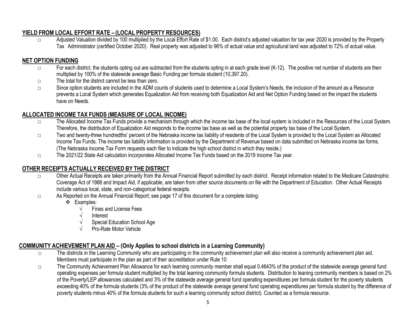# YIELD FROM LOCAL EFFORT RATE – (LOCAL PROPERTY RESOURCES)

□ Adjusted Valuation divided by 100 multiplied by the Local Effort Rate of \$1.00. Each district's adjusted valuation for tax year 2020 is provided by the Property Tax Administrator (certified October 2020). Real property was adjusted to 96% of actual value and agricultural land was adjusted to 72% of actual value.

# NET OPTION FUNDING

- □ For each district, the students opting out are subtracted from the students opting in at each grade level (K-12). The positive net number of students are then multiplied by 100% of the statewide average Basic Funding per formula student (10,397.20).
- □ The total for the district cannot be less than zero.
- □ Since option students are included in the ADM counts of students used to determine a Local System's Needs, the inclusion of the amount as a Resource prevents a Local System which generates Equalization Aid from receiving both Equalization Aid and Net Option Funding based on the impact the students have on Needs.

# ALLOCATED INCOME TAX FUNDS (MEASURE OF LOCAL INCOME)

- □ The Allocated Income Tax Funds provide a mechanism through which the income tax base of the local system is included in the Resources of the Local System. Therefore, the distribution of Equalization Aid responds to the income tax base as well as the potential property tax base of the Local System.
- □ Two and twenty-three hundredths' percent of the Nebraska income tax liability of residents of the Local System is provided to the Local System as Allocated Income Tax Funds. The income tax liability information is provided by the Department of Revenue based on data submitted on Nebraska income tax forms. (The Nebraska Income Tax Form requests each filer to indicate the high school district in which they reside.)
- □ The 2021/22 State Aid calculation incorporates Allocated Income Tax Funds based on the 2019 Income Tax year.

# OTHER RECEIPTS ACTUALLY RECEIVED BY THE DISTRICT

- □ Other Actual Receipts are taken primarily from the Annual Financial Report submitted by each district. Receipt information related to the Medicare Catastrophic Coverage Act of 1988 and Impact Aid, if applicable, are taken from other source documents on file with the Department of Education. Other Actual Receipts include various local, state, and non-categorical federal receipts.
- □ As Reported on the Annual Financial Report; see page 17 of this document for a complete listing:
	- ❖ Examples:
		- $\sqrt{\frac{1}{1}}$  Fines and License Fees
		- √ Interest
		- Special Education School Age
		- Pro-Rate Motor Vehicle

# COMMUNITY ACHIEVEMENT PLAN AID – (Only Applies to school districts in a Learning Community)

- □ The districts in the Learning Community who are participating in the community achievement plan will also receive a community achievement plan aid. Members must participate in the plan as part of their accreditation under Rule 10
- □ The Community Achievement Plan Allowance for each learning community member shall equal 0.4643% of the product of the statewide average general fund operating expenses per formula student multiplied by the total learning community formula students. Distribution to leaning community members is based on 2% of the Poverty/LEP allowances calculated and 3% of the statewide average general fund operating expenditures per formula student for the poverty students exceeding 40% of the formula students (3% of the product of the statewide average general fund operating expenditures per formula student by the difference of poverty students minus 40% of the formula students for such a learning community school district). Counted as a formula resource.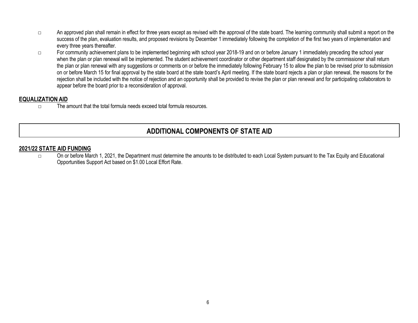- □ An approved plan shall remain in effect for three years except as revised with the approval of the state board. The learning community shall submit a report on the success of the plan, evaluation results, and proposed revisions by December 1 immediately following the completion of the first two years of implementation and every three years thereafter.
- □ For community achievement plans to be implemented beginning with school year 2018-19 and on or before January 1 immediately preceding the school year when the plan or plan renewal will be implemented. The student achievement coordinator or other department staff designated by the commissioner shall return the plan or plan renewal with any suggestions or comments on or before the immediately following February 15 to allow the plan to be revised prior to submission on or before March 15 for final approval by the state board at the state board's April meeting. If the state board rejects a plan or plan renewal, the reasons for the rejection shall be included with the notice of rejection and an opportunity shall be provided to revise the plan or plan renewal and for participating collaborators to appear before the board prior to a reconsideration of approval.

#### EQUALIZATION AID

 $\nabla$  The amount that the total formula needs exceed total formula resources.

# ADDITIONAL COMPONENTS OF STATE AID

#### 2021/22 STATE AID FUNDING

□ On or before March 1, 2021, the Department must determine the amounts to be distributed to each Local System pursuant to the Tax Equity and Educational Opportunities Support Act based on \$1.00 Local Effort Rate.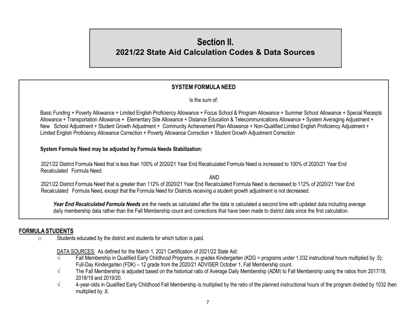# Section II. 2021/22 State Aid Calculation Codes & Data Sources

# SYSTEM FORMULA NEED

Is the sum of:

Basic Funding + Poverty Allowance + Limited English Proficiency Allowance + Focus School & Program Allowance + Summer School Allowance + Special Receipts Allowance + Transportation Allowance + Elementary Site Allowance + Distance Education & Telecommunications Allowance + System Averaging Adjustment + New School Adjustment + Student Growth Adjustment + Community Achievement Plan Allowance + Non-Qualified Limited English Proficiency Adjustment + Limited English Proficiency Allowance Correction + Poverty Allowance Correction + Student Growth Adjustment Correction

System Formula Need may be adjusted by Formula Needs Stabilization:

2021/22 District Formula Need that is less than 100% of 2020/21 Year End Recalculated Formula Need is increased to 100% of 2020/21 Year End Recalculated Formula Need.

AND 2021/22 District Formula Need that is greater than 112% of 2020/21 Year End Recalculated Formula Need is decreased to 112% of 2020/21 Year End Recalculated Formula Need, except that the Formula Need for Districts receiving a student growth adjustment is not decreased.

Year End Recalculated Formula Needs are the needs as calculated after the data is calculated a second time with updated data including average daily membership data rather than the Fall Membership count and corrections that have been made to district data since the first calculation.

# FORMULA STUDENTS

□ Students educated by the district and students for which tuition is paid.

DATA SOURCES: As defined for the March 1, 2021 Certification of 2021/22 State Aid:

- √ Fall Membership in Qualified Early Childhood Programs, in grades Kindergarten (KDG = programs under 1,032 instructional hours multiplied by .5); Full-Day Kindergarten (FDK) – 12 grade from the 2020/21 ADVISER October 1, Fall Membership count.
- $\sqrt{ }$  The Fall Membership is adjusted based on the historical ratio of Average Daily Membership (ADM) to Fall Membership using the ratios from 2017/18, 2018/19 and 2019/20.
- $\sqrt{4}$  4-year-olds in Qualified Early Childhood Fall Membership is multiplied by the ratio of the planned instructional hours of the program divided by 1032 then multiplied by .6.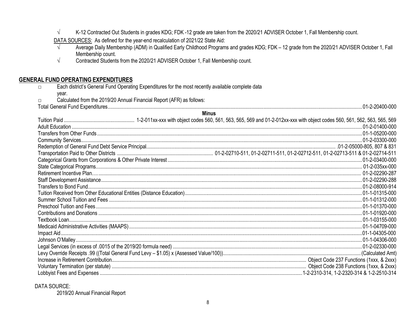$\sqrt{ }$ K-12 Contracted Out Students in grades KDG; FDK -12 grade are taken from the 2020/21 ADVISER October 1, Fall Membership count.

 $Minin$ 

DATA SOURCES: As defined for the year-end recalculation of 2021/22 State Aid:

- Average Daily Membership (ADM) in Qualified Early Childhood Programs and grades KDG; FDK 12 grade from the 2020/21 ADVISER October 1, Fall  $\sqrt{ }$ Membership count.
- $\sqrt{}$ Contracted Students from the 2020/21 ADVISER October 1, Fall Membership count.

#### **GENERAL FUND OPERATING EXPENDITURES**

- Each district's General Fund Operating Expenditures for the most recently available complete data  $\Box$ 
	- vear.

 $\Box$ 

- Calculated from the 2019/20 Annual Financial Report (AFR) as follows:
- 

|  | MIIIUS |  |
|--|--------|--|
|  |        |  |
|  |        |  |
|  |        |  |
|  |        |  |
|  |        |  |
|  |        |  |
|  |        |  |
|  |        |  |
|  |        |  |
|  |        |  |
|  |        |  |
|  |        |  |
|  |        |  |
|  |        |  |
|  |        |  |
|  |        |  |
|  |        |  |
|  |        |  |
|  |        |  |
|  |        |  |
|  |        |  |
|  |        |  |
|  |        |  |
|  |        |  |

#### DATA SOURCE:

2019/20 Annual Financial Report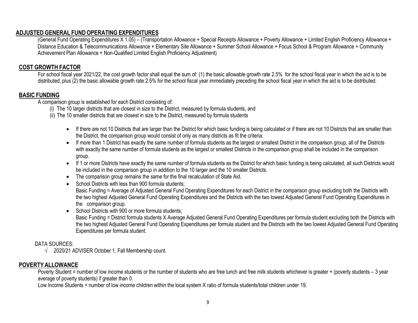#### ADJUSTED GENERAL FUND OPERATING EXPENDITURES

(General Fund Operating Expenditures X 1.05) – (Transportation Allowance + Special Receipts Allowance + Poverty Allowance + Limited English Proficiency Allowance + Distance Education & Telecommunications Allowance + Elementary Site Allowance + Summer School Allowance + Focus School & Program Allowance + Community Achievement Plan Allowance + Non-Qualified Limited English Proficiency Adjustment)

#### COST GROWTH FACTOR

For school fiscal year 2021/22, the cost growth factor shall equal the sum of: (1) the basic allowable growth rate 2.5% for the school fiscal year in which the aid is to be distributed; plus (2) the basic allowable growth rate 2.5% for the school fiscal year immediately preceding the school fiscal year in which the aid is to be distributed.

#### BASIC FUNDING

A comparison group is established for each District consisting of:

- (i) The 10 larger districts that are closest in size to the District, measured by formula students, and
- (ii) The 10 smaller districts that are closest in size to the District, measured by formula students
	- If there are not 10 Districts that are larger than the District for which basic funding is being calculated or if there are not 10 Districts that are smaller than the District, the comparison group would consist of only as many districts as fit the criteria.
	- If more than 1 District has exactly the same number of formula students as the largest or smallest District in the comparison group, all of the Districts with exactly the same number of formula students as the largest or smallest Districts in the comparison group shall be included in the comparison group.
	- If 1 or more Districts have exactly the same number of formula students as the District for which basic funding is being calculated, all such Districts would be included in the comparison group in addition to the 10 larger and the 10 smaller Districts.
	- The comparison group remains the same for the final recalculation of State Aid.
	- School Districts with less than 900 formula students; Basic Funding = Average of Adjusted General Fund Operating Expenditures for each District in the comparison group excluding both the Districts with the two highest Adjusted General Fund Operating Expenditures and the Districts with the two lowest Adjusted General Fund Operating Expenditures in the comparison group.
	- School Districts with 900 or more formula students:

Basic Funding = District formula students X Average Adjusted General Fund Operating Expenditures per formula student excluding both the Districts with the two highest Adjusted General Fund Operating Expenditures per formula student and the Districts with the two lowest Adjusted General Fund Operating Expenditures per formula student.

#### DATA SOURCES:

 $\sqrt{2020/21}$  ADVISER October 1, Fall Membership count.

#### POVERTY ALLOWANCE

Poverty Student = number of low income students or the number of students who are free lunch and free milk students whichever is greater + (poverty students – 3 year average of poverty students) if greater than 0.

Low Income Students = number of low income children within the local system X ratio of formula students/total children under 19.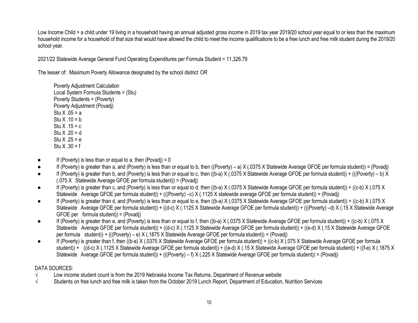Low Income Child = a child under 19 living in a household having an annual adjusted gross income in 2019 tax year 2019/20 school year equal to or less than the maximum household income for a household of that size that would have allowed the child to meet the income qualifications to be a free lunch and free milk student during the 2019/20 school year.

2021/22 Statewide Average General Fund Operating Expenditures per Formula Student = 11,326.79

The lesser of: Maximum Poverty Allowance designated by the school district OR

Poverty Adjustment Calculation Local System Formula Students = (Stu) Poverty Students = (Poverty) Poverty Adjustment (Povadj) Stu  $X .05 = a$ Stu  $X .10 = b$ Stu  $X .15 = c$ Stu  $X$  .20 = d Stu  $X \cdot 25 = e$ Stu  $X .30 = f$ 

- If (Poverty) is less than or equal to a, then (Povadj) =  $0$
- If (Poverty) is greater than a, and (Poverty) is less than or equal to b, then ((Poverty) a) X (.0375 X Statewide Average GFOE per formula student)) = (Povadj)
- If (Poverty) is greater than b, and (Poverty) is less than or equal to c, then ((b-a) X (.0375 X Statewide Average GFOE per formula student)) + (((Poverty) b) X (.075 X Statewide Average GFOE per formula student)) = (Povadj)
- If (Poverty) is greater than c, and (Poverty) is less than or equal to d, then ((b-a) X (.0375 X Statewide Average GFOE per formula student)) + ((c-b) X (.075 X Statewide Average GFOE per formula student)) + (((Poverty) –c) X (.1125 X statewide average GFOE per formula student)) = (Povadj)
- If (Poverty) is greater than d, and (Poverty) is less than or equal to e, then ((b-a) X (.0375 X Statewide Average GFOE per formula student)) + ((c-b) X (.075 X Statewide Average GFOE per formula student)) + ((d-c) X (.1125 X Statewide Average GFOE per formula student)) + (((Poverty) –d) X (.15 X Statewide Average GFOE per formula student)) = (Povadj)
- If (Poverty) is greater than e, and (Poverty) is less than or equal to f, then ((b-a)  $X$  (.0375 X Statewide Average GFOE per formula student)) + ((c-b)  $X$  (.075 X Statewide Average GFOE per formula student)) + ((d-c) X (.1125 X Statewide Average GFOE per formula student)) + ((e-d) X (.15 X Statewide Average GFOE per formula student)) + (((Poverty) – e) X (.1875 X Statewide Average GFOE per formula student)) = (Povadj)
- If (Poverty) is greater than f, then ((b-a) X (.0375 X Statewide Average GFOE per formula student)) + ((c-b) X (.075 X Statewide Average GFOE per formula student)) + ((d-c) X (.1125 X Statewide Average GFOE per formula student)) + ((e-d) X (.15 X Statewide Average GFOE per formula student)) + ((f-e) X (.1875 X Statewide Average GFOE per formula student)) + (((Poverty) – f) X (.225 X Statewide Average GFOE per formula student)) = (Povadj)

#### DATA SOURCES:

- √ Low income student count is from the 2019 Nebraska Income Tax Returns, Department of Revenue website
- $\sqrt{ }$  Students on free lunch and free milk is taken from the October 2019 Lunch Report, Department of Education, Nutrition Services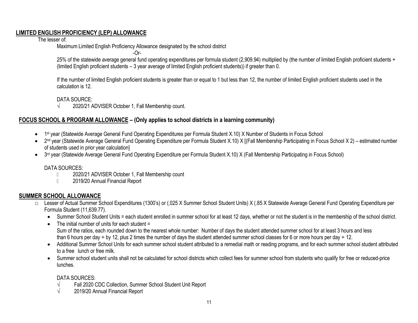#### LIMITED ENGLISH PROFICIENCY (LEP) ALLOWANCE

#### The lesser of:

Maximum Limited English Proficiency Allowance designated by the school district

-Or-

25% of the statewide average general fund operating expenditures per formula student (2,909.94) multiplied by (the number of limited English proficient students + (limited English proficient students – 3 year average of limited English proficient students)) if greater than 0.

If the number of limited English proficient students is greater than or equal to 1 but less than 12, the number of limited English proficient students used in the calculation is 12.

#### DATA SOURCE:

 $\sqrt{2020/21}$  ADVISER October 1, Fall Membership count.

# FOCUS SCHOOL & PROGRAM ALLOWANCE – (Only applies to school districts in a learning community)

- 1<sup>st</sup> year (Statewide Average General Fund Operating Expenditures per Formula Student X.10) X Number of Students in Focus School
- 2<sup>nd</sup> year (Statewide Average General Fund Operating Expenditure per Formula Student X.10) X [(Fall Membership Participating in Focus School X 2) estimated number of students used in prior year calculation]
- 3<sup>rd</sup> year (Statewide Average General Fund Operating Expenditure per Formula Student X.10) X (Fall Membership Participating in Focus School)

#### DATA SOURCES:

- D 2020/21 ADVISER October 1, Fall Membership count
- **2019/20 Annual Financial Report**

# SUMMER SCHOOL ALLOWANCE

- □ Lesser of Actual Summer School Expenditures (1300's) or (.025 X Summer School Student Units) X (.85 X Statewide Average General Fund Operating Expenditure per Formula Student (11,639.77).
	- Summer School Student Units = each student enrolled in summer school for at least 12 days, whether or not the student is in the membership of the school district.
	- The initial number of units for each student = Sum of the ratios, each rounded down to the nearest whole number: Number of days the student attended summer school for at least 3 hours and less than 6 hours per day  $\div$  by 12, plus 2 times the number of days the student attended summer school classes for 6 or more hours per day  $\div$  12.
	- Additional Summer School Units for each summer school student attributed to a remedial math or reading programs, and for each summer school student attributed to a free lunch or free milk.
	- Summer school student units shall not be calculated for school districts which collect fees for summer school from students who qualify for free or reduced-price lunches.

#### DATA SOURCES:

- √ Fall 2020 CDC Collection, Summer School Student Unit Report
- √ 2019/20 Annual Financial Report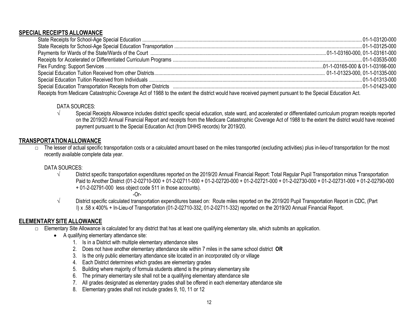#### SPECIAL RECEIPTS ALLOWANCE

| Receipts from Medicare Catastrophic Coverage Act of 1988 to the extent the district would have received payment pursuant to the Special Education Act. |  |  |  |
|--------------------------------------------------------------------------------------------------------------------------------------------------------|--|--|--|

#### DATA SOURCES:

√ Special Receipts Allowance includes district specific special education, state ward, and accelerated or differentiated curriculum program receipts reported on the 2019/20 Annual Financial Report and receipts from the Medicare Catastrophic Coverage Act of 1988 to the extent the district would have received payment pursuant to the Special Education Act (from DHHS records) for 2019/20.

#### TRANSPORTATION ALLOWANCE

 $\square$  The lesser of actual specific transportation costs or a calculated amount based on the miles transported (excluding activities) plus in-lieu-of transportation for the most recently available complete data year.

#### DATA SOURCES:

√ District specific transportation expenditures reported on the 2019/20 Annual Financial Report: Total Regular Pupil Transportation minus Transportation Paid to Another District (01-2-02710-000 + 01-2-02711-000 + 01-2-02720-000 + 01-2-02721-000 + 01-2-02730-000 + 01-2-02731-000 + 01-2-02790-000 + 01-2-02791-000 less object code 511 in those accounts).

-Or-

√ District specific calculated transportation expenditures based on: Route miles reported on the 2019/20 Pupil Transportation Report in CDC, (Part I) x .58 x 400% + In-Lieu-of Transportation (01-2-02710-332, 01-2-02711-332) reported on the 2019/20 Annual Financial Report.

# ELEMENTARY SITE ALLOWANCE

- □ Elementary Site Allowance is calculated for any district that has at least one qualifying elementary site, which submits an application.
	- A qualifying elementary attendance site:
		- 1. Is in a District with multiple elementary attendance sites
		- 2. Does not have another elementary attendance site within 7 miles in the same school district OR
		- 3. Is the only public elementary attendance site located in an incorporated city or village
		- 4. Each District determines which grades are elementary grades
		- 5. Building where majority of formula students attend is the primary elementary site
		- 6. The primary elementary site shall not be a qualifying elementary attendance site
		- 7. All grades designated as elementary grades shall be offered in each elementary attendance site
		- 8. Elementary grades shall not include grades 9, 10, 11 or 12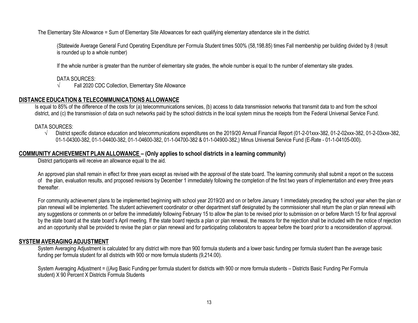The Elementary Site Allowance = Sum of Elementary Site Allowances for each qualifying elementary attendance site in the district.

(Statewide Average General Fund Operating Expenditure per Formula Student times 500% (58,198.85) times Fall membership per building divided by 8 (result is rounded up to a whole number)

If the whole number is greater than the number of elementary site grades, the whole number is equal to the number of elementary site grades.

#### DATA SOURCES:

√ Fall 2020 CDC Collection, Elementary Site Allowance

#### DISTANCE EDUCATION & TELECOMMUNICATIONS ALLOWANCE

Is equal to 85% of the difference of the costs for (a) telecommunications services, (b) access to data transmission networks that transmit data to and from the school district, and (c) the transmission of data on such networks paid by the school districts in the local system minus the receipts from the Federal Universal Service Fund.

#### DATA SOURCES:

√ District specific distance education and telecommunications expenditures on the 2019/20 Annual Financial Report (01-2-01xxx-382, 01-2-02xxx-382, 01-2-03xxx-382, 01-1-04300-382, 01-1-04400-382, 01-1-04600-382, 01-1-04700-382 & 01-1-04900-382,) Minus Universal Service Fund (E-Rate - 01-1-04105-000).

#### COMMUNITY ACHIEVEMENT PLAN ALLOWANCE – (Only applies to school districts in a learning community)

District participants will receive an allowance equal to the aid.

An approved plan shall remain in effect for three years except as revised with the approval of the state board. The learning community shall submit a report on the success of the plan, evaluation results, and proposed revisions by December 1 immediately following the completion of the first two years of implementation and every three years thereafter.

For community achievement plans to be implemented beginning with school year 2019/20 and on or before January 1 immediately preceding the school year when the plan or plan renewal will be implemented. The student achievement coordinator or other department staff designated by the commissioner shall return the plan or plan renewal with any suggestions or comments on or before the immediately following February 15 to allow the plan to be revised prior to submission on or before March 15 for final approval by the state board at the state board's April meeting. If the state board rejects a plan or plan renewal, the reasons for the rejection shall be included with the notice of rejection and an opportunity shall be provided to revise the plan or plan renewal and for participating collaborators to appear before the board prior to a reconsideration of approval.

#### SYSTEM AVERAGING ADJUSTMENT

System Averaging Adjustment is calculated for any district with more than 900 formula students and a lower basic funding per formula student than the average basic funding per formula student for all districts with 900 or more formula students (9,214.00).

System Averaging Adjustment = ((Avg Basic Funding per formula student for districts with 900 or more formula students – Districts Basic Funding Per Formula student) X 90 Percent X Districts Formula Students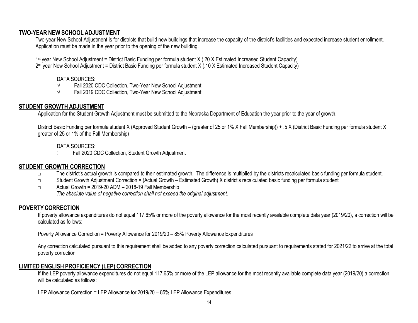#### TWO-YEAR NEW SCHOOL ADJUSTMENT

Two-year New School Adjustment is for districts that build new buildings that increase the capacity of the district's facilities and expected increase student enrollment. Application must be made in the year prior to the opening of the new building.

1<sup>st</sup> year New School Adjustment = District Basic Funding per formula student X (.20 X Estimated Increased Student Capacity) 2<sup>nd</sup> year New School Adjustment = District Basic Funding per formula student X (.10 X Estimated Increased Student Capacity)

#### DATA SOURCES:

- √ Fall 2020 CDC Collection, Two-Year New School Adjustment
- √ Fall 2019 CDC Collection, Two-Year New School Adjustment

## STUDENT GROWTH ADJUSTMENT

Application for the Student Growth Adjustment must be submitted to the Nebraska Department of Education the year prior to the year of growth.

District Basic Funding per formula student X (Approved Student Growth – (greater of 25 or 1% X Fall Membership)) + .5 X (District Basic Funding per formula student X greater of 25 or 1% of the Fall Membership)

#### DATA SOURCES:

**IDED Fall 2020 CDC Collection, Student Growth Adjustment** 

#### STUDENT GROWTH CORRECTION

- □ The district's actual growth is compared to their estimated growth. The difference is multiplied by the districts recalculated basic funding per formula student.
- □ Student Growth Adjustment Correction = (Actual Growth Estimated Growth) X district's recalculated basic funding per formula student
- □ Actual Growth = 2019-20 ADM 2018-19 Fall Membership The absolute value of negative correction shall not exceed the original adjustment.

#### POVERTY CORRECTION

If poverty allowance expenditures do not equal 117.65% or more of the poverty allowance for the most recently available complete data year (2019/20), a correction will be calculated as follows:

Poverty Allowance Correction = Poverty Allowance for 2019/20 – 85% Poverty Allowance Expenditures

Any correction calculated pursuant to this requirement shall be added to any poverty correction calculated pursuant to requirements stated for 2021/22 to arrive at the total poverty correction.

# LIMITED ENGLISH PROFICIENCY (LEP) CORRECTION

If the LEP poverty allowance expenditures do not equal 117.65% or more of the LEP allowance for the most recently available complete data year (2019/20) a correction will be calculated as follows:

LEP Allowance Correction = LEP Allowance for 2019/20 – 85% LEP Allowance Expenditures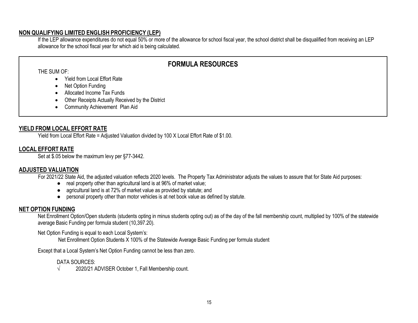#### NON QUALIFYING LIMITED ENGLISH PROFICIENCY (LEP)

If the LEP allowance expenditures do not equal 50% or more of the allowance for school fiscal year, the school district shall be disqualified from receiving an LEP allowance for the school fiscal year for which aid is being calculated.

# FORMULA RESOURCES

THE SUM OF:

- Yield from Local Effort Rate
- Net Option Funding
- Allocated Income Tax Funds
- Other Receipts Actually Received by the District
- Community Achievement Plan Aid

# YIELD FROM LOCAL EFFORT RATE

Yield from Local Effort Rate = Adjusted Valuation divided by 100 X Local Effort Rate of \$1.00.

# LOCAL EFFORT RATE

Set at \$.05 below the maximum levy per §77-3442.

# ADJUSTED VALUATION

For 2021/22 State Aid, the adjusted valuation reflects 2020 levels. The Property Tax Administrator adjusts the values to assure that for State Aid purposes:

- real property other than agricultural land is at 96% of market value;
- agricultural land is at 72% of market value as provided by statute; and
- personal property other than motor vehicles is at net book value as defined by statute.

# NET OPTION FUNDING

Net Enrollment Option/Open students (students opting in minus students opting out) as of the day of the fall membership count, multiplied by 100% of the statewide average Basic Funding per formula student (10,397.20).

#### Net Option Funding is equal to each Local System's:

Net Enrollment Option Students X 100% of the Statewide Average Basic Funding per formula student

Except that a Local System's Net Option Funding cannot be less than zero.

#### DATA SOURCES:

 $\sqrt{2020/21}$  ADVISER October 1, Fall Membership count.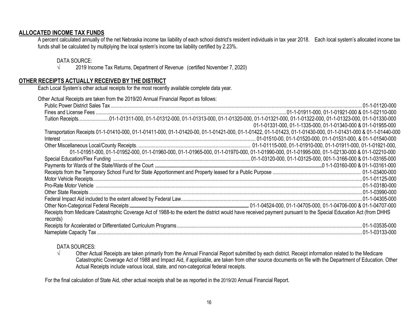#### ALLOCATED INCOME TAX FUNDS

A percent calculated annually of the net Nebraska income tax liability of each school district's resident individuals in tax year 2018. Each local system's allocated income tax funds shall be calculated by multiplying the local system's income tax liability certified by 2.23%.

#### DATA SOURCE:

 $\sqrt{2019}$  Income Tax Returns, Department of Revenue (certified November 7, 2020)

#### OTHER RECEIPTS ACTUALLY RECEIVED BY THE DISTRICT

Each Local System's other actual receipts for the most recently available complete data year.

| Other Actual Receipts are taken from the 2019/20 Annual Financial Report as follows:                                                                                         |                                                                                                                                                 |
|------------------------------------------------------------------------------------------------------------------------------------------------------------------------------|-------------------------------------------------------------------------------------------------------------------------------------------------|
|                                                                                                                                                                              |                                                                                                                                                 |
|                                                                                                                                                                              |                                                                                                                                                 |
|                                                                                                                                                                              |                                                                                                                                                 |
|                                                                                                                                                                              | 01-1-01331-000, 01-1-1335-000, 01-1-01340-000 & 01-1-01955-000                                                                                  |
| Transportation Receipts 01-1-01410-000, 01-1-01411-000, 01-1-01420-00, 01-1-01421-000, 01-1-01422, 01-1-01423, 01-1-01430-000, 01-1-01431-000 & 01-1-01440-000               |                                                                                                                                                 |
|                                                                                                                                                                              |                                                                                                                                                 |
|                                                                                                                                                                              |                                                                                                                                                 |
|                                                                                                                                                                              | 01-1-01951-000, 01-1-01952-000, 01-1-01960-000, 01-1-01965-000, 01-1-01970-000, 01-1-01990-000, 01-1-01995-000, 01-1-02130-000 & 01-1-02210-000 |
|                                                                                                                                                                              |                                                                                                                                                 |
|                                                                                                                                                                              |                                                                                                                                                 |
|                                                                                                                                                                              |                                                                                                                                                 |
|                                                                                                                                                                              |                                                                                                                                                 |
|                                                                                                                                                                              |                                                                                                                                                 |
|                                                                                                                                                                              |                                                                                                                                                 |
|                                                                                                                                                                              |                                                                                                                                                 |
|                                                                                                                                                                              |                                                                                                                                                 |
| Receipts from Medicare Catastrophic Coverage Act of 1988-to the extent the district would have received payment pursuant to the Special Education Act (from DHHS<br>records) |                                                                                                                                                 |
|                                                                                                                                                                              |                                                                                                                                                 |
|                                                                                                                                                                              |                                                                                                                                                 |

#### DATA SOURCES:

√ Other Actual Receipts are taken primarily from the Annual Financial Report submitted by each district. Receipt information related to the Medicare Catastrophic Coverage Act of 1988 and Impact Aid, if applicable, are taken from other source documents on file with the Department of Education. Other Actual Receipts include various local, state, and non-categorical federal receipts.

For the final calculation of State Aid, other actual receipts shall be as reported in the 2019/20 Annual Financial Report.